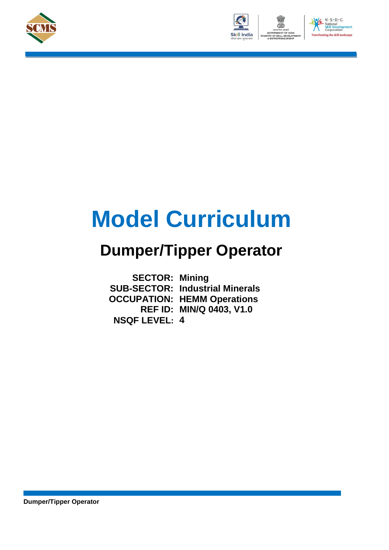





# **Model Curriculum**

## **Dumper/Tipper Operator**

**SECTOR: Mining SUB-SECTOR: Industrial Minerals OCCUPATION: HEMM Operations REF ID: MIN/Q 0403, V1.0 NSQF LEVEL: 4**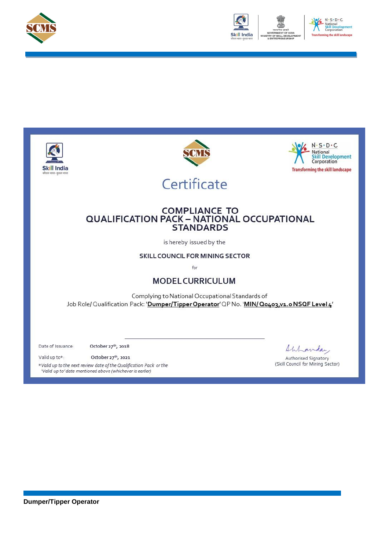



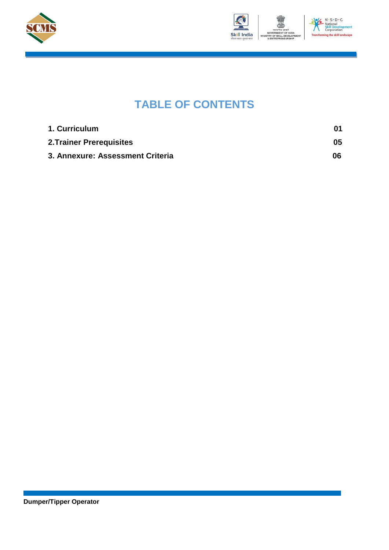



### **TABLE OF CONTENTS**

| 1. Curriculum                    | 01 |
|----------------------------------|----|
| <b>2. Trainer Prerequisites</b>  | 05 |
| 3. Annexure: Assessment Criteria | 06 |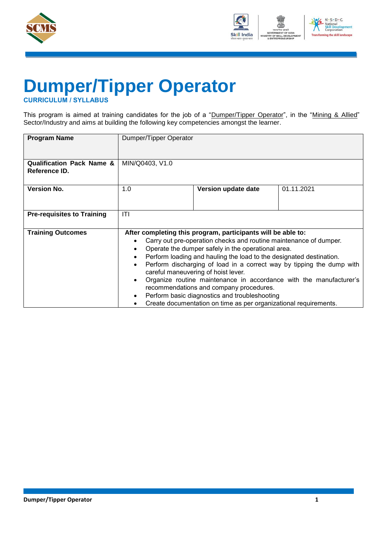



## **Dumper/Tipper Operator**

<span id="page-3-0"></span>**CURRICULUM / SYLLABUS**

This program is aimed at training candidates for the job of a "Dumper/Tipper Operator", in the "Mining & Allied" Sector/Industry and aims at building the following key competencies amongst the learner.

| <b>Program Name</b>                                   | Dumper/Tipper Operator                           |                                                                                                                                                                                                                                                                                                                                                                                                                                                                       |                                                                                                                                             |
|-------------------------------------------------------|--------------------------------------------------|-----------------------------------------------------------------------------------------------------------------------------------------------------------------------------------------------------------------------------------------------------------------------------------------------------------------------------------------------------------------------------------------------------------------------------------------------------------------------|---------------------------------------------------------------------------------------------------------------------------------------------|
|                                                       |                                                  |                                                                                                                                                                                                                                                                                                                                                                                                                                                                       |                                                                                                                                             |
| <b>Qualification Pack Name &amp;</b><br>Reference ID. | MIN/Q0403, V1.0                                  |                                                                                                                                                                                                                                                                                                                                                                                                                                                                       |                                                                                                                                             |
| <b>Version No.</b>                                    | 1.0                                              | Version update date                                                                                                                                                                                                                                                                                                                                                                                                                                                   | 01.11.2021                                                                                                                                  |
| <b>Pre-requisites to Training</b>                     | ITI                                              |                                                                                                                                                                                                                                                                                                                                                                                                                                                                       |                                                                                                                                             |
| <b>Training Outcomes</b>                              | $\bullet$<br>$\bullet$<br>$\bullet$<br>$\bullet$ | After completing this program, participants will be able to:<br>Carry out pre-operation checks and routine maintenance of dumper.<br>Operate the dumper safely in the operational area.<br>Perform loading and hauling the load to the designated destination.<br>careful maneuvering of hoist lever.<br>recommendations and company procedures.<br>Perform basic diagnostics and troubleshooting<br>Create documentation on time as per organizational requirements. | Perform discharging of load in a correct way by tipping the dump with<br>Organize routine maintenance in accordance with the manufacturer's |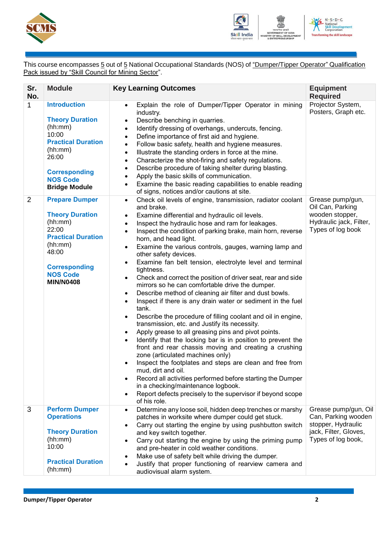



This course encompasses 5 out of 5 National Occupational Standards (NOS) of "Dumper/Tipper Operator" Qualification Pack issued by "Skill Council for Mining Sector".

| Sr.<br>No.     | <b>Module</b>                                                                                                                                                                         | <b>Key Learning Outcomes</b>                                                                                                                                                                                                                                                                                                                                                                                                                                                                                                                                                                                                                                                                                                                                                                                                                                                                                                                                                                                                                                                                                                                                                                                                                                                                                                                                                                                                                                | <b>Equipment</b><br><b>Required</b>                                                                              |
|----------------|---------------------------------------------------------------------------------------------------------------------------------------------------------------------------------------|-------------------------------------------------------------------------------------------------------------------------------------------------------------------------------------------------------------------------------------------------------------------------------------------------------------------------------------------------------------------------------------------------------------------------------------------------------------------------------------------------------------------------------------------------------------------------------------------------------------------------------------------------------------------------------------------------------------------------------------------------------------------------------------------------------------------------------------------------------------------------------------------------------------------------------------------------------------------------------------------------------------------------------------------------------------------------------------------------------------------------------------------------------------------------------------------------------------------------------------------------------------------------------------------------------------------------------------------------------------------------------------------------------------------------------------------------------------|------------------------------------------------------------------------------------------------------------------|
| $\mathbf 1$    | <b>Introduction</b><br><b>Theory Duration</b><br>(hh:mm)<br>10:00<br><b>Practical Duration</b><br>(hh:mm)<br>26:00<br><b>Corresponding</b><br><b>NOS Code</b><br><b>Bridge Module</b> | Explain the role of Dumper/Tipper Operator in mining<br>$\bullet$<br>industry.<br>Describe benching in quarries.<br>$\bullet$<br>Identify dressing of overhangs, undercuts, fencing.<br>$\bullet$<br>Define importance of first aid and hygiene.<br>$\bullet$<br>Follow basic safety, health and hygiene measures.<br>$\bullet$<br>Illustrate the standing orders in force at the mine.<br>$\bullet$<br>Characterize the shot-firing and safety regulations.<br>$\bullet$<br>Describe procedure of taking shelter during blasting.<br>$\bullet$<br>Apply the basic skills of communication.<br>Examine the basic reading capabilities to enable reading<br>$\bullet$<br>of signs, notices and/or cautions at site.                                                                                                                                                                                                                                                                                                                                                                                                                                                                                                                                                                                                                                                                                                                                          | Projector System,<br>Posters, Graph etc.                                                                         |
| $\overline{2}$ | <b>Prepare Dumper</b><br><b>Theory Duration</b><br>(hh:mm)<br>22:00<br><b>Practical Duration</b><br>(hh:mm)<br>48:00<br><b>Corresponding</b><br><b>NOS Code</b><br><b>MIN/N0408</b>   | Check oil levels of engine, transmission, radiator coolant<br>$\bullet$<br>and brake.<br>Examine differential and hydraulic oil levels.<br>$\bullet$<br>Inspect the hydraulic hose and ram for leakages.<br>$\bullet$<br>Inspect the condition of parking brake, main horn, reverse<br>$\bullet$<br>horn, and head light.<br>Examine the various controls, gauges, warning lamp and<br>$\bullet$<br>other safety devices.<br>Examine fan belt tension, electrolyte level and terminal<br>$\bullet$<br>tightness.<br>Check and correct the position of driver seat, rear and side<br>$\bullet$<br>mirrors so he can comfortable drive the dumper.<br>Describe method of cleaning air filter and dust bowls.<br>$\bullet$<br>Inspect if there is any drain water or sediment in the fuel<br>$\bullet$<br>tank.<br>Describe the procedure of filling coolant and oil in engine,<br>$\bullet$<br>transmission, etc. and Justify its necessity.<br>Apply grease to all greasing pins and pivot points.<br>$\bullet$<br>Identify that the locking bar is in position to prevent the<br>$\bullet$<br>front and rear chassis moving and creating a crushing<br>zone (articulated machines only)<br>Inspect the footplates and steps are clean and free from<br>mud, dirt and oil.<br>Record all activities performed before starting the Dumper<br>in a checking/maintenance logbook.<br>Report defects precisely to the supervisor if beyond scope<br>of his role. | Grease pump/gun,<br>Oil Can, Parking<br>wooden stopper,<br>Hydraulic jack, Filter,<br>Types of log book          |
| 3              | <b>Perform Dumper</b><br><b>Operations</b><br><b>Theory Duration</b><br>(hh:mm)<br>10:00<br><b>Practical Duration</b><br>(hh:mm)                                                      | Determine any loose soil, hidden deep trenches or marshy<br>$\bullet$<br>patches in worksite where dumper could get stuck.<br>Carry out starting the engine by using pushbutton switch<br>and key switch together.<br>Carry out starting the engine by using the priming pump<br>and pre-heater in cold weather conditions.<br>Make use of safety belt while driving the dumper.<br>Justify that proper functioning of rearview camera and<br>audiovisual alarm system.                                                                                                                                                                                                                                                                                                                                                                                                                                                                                                                                                                                                                                                                                                                                                                                                                                                                                                                                                                                     | Grease pump/gun, Oil<br>Can, Parking wooden<br>stopper, Hydraulic<br>jack, Filter, Gloves,<br>Types of log book, |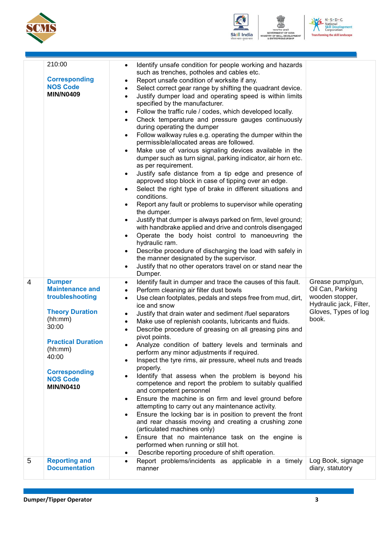



N - S - D - C<br>National<br>Skill Development<br>Corporation<br>Tansforming the skill landscape **Transfo** 

**AENT** 

|                | 210:00<br><b>Corresponding</b><br><b>NOS Code</b><br><b>MIN/N0409</b>                                                                                                                                                    | Identify unsafe condition for people working and hazards<br>$\bullet$<br>such as trenches, potholes and cables etc.<br>Report unsafe condition of worksite if any.<br>$\bullet$<br>Select correct gear range by shifting the quadrant device.<br>$\bullet$<br>Justify dumper load and operating speed is within limits<br>$\bullet$<br>specified by the manufacturer.<br>Follow the traffic rule / codes, which developed locally.<br>$\bullet$<br>Check temperature and pressure gauges continuously<br>$\bullet$<br>during operating the dumper<br>Follow walkway rules e.g. operating the dumper within the<br>$\bullet$<br>permissible/allocated areas are followed.<br>Make use of various signaling devices available in the<br>$\bullet$<br>dumper such as turn signal, parking indicator, air horn etc.<br>as per requirement.<br>Justify safe distance from a tip edge and presence of<br>$\bullet$<br>approved stop block in case of tipping over an edge.<br>Select the right type of brake in different situations and<br>$\bullet$<br>conditions.<br>Report any fault or problems to supervisor while operating<br>$\bullet$<br>the dumper.<br>Justify that dumper is always parked on firm, level ground;<br>$\bullet$<br>with handbrake applied and drive and controls disengaged<br>Operate the body hoist control to manoeuvring the<br>$\bullet$<br>hydraulic ram.<br>Describe procedure of discharging the load with safely in<br>$\bullet$<br>the manner designated by the supervisor.<br>Justify that no other operators travel on or stand near the<br>$\bullet$ |                                                                                                                     |
|----------------|--------------------------------------------------------------------------------------------------------------------------------------------------------------------------------------------------------------------------|----------------------------------------------------------------------------------------------------------------------------------------------------------------------------------------------------------------------------------------------------------------------------------------------------------------------------------------------------------------------------------------------------------------------------------------------------------------------------------------------------------------------------------------------------------------------------------------------------------------------------------------------------------------------------------------------------------------------------------------------------------------------------------------------------------------------------------------------------------------------------------------------------------------------------------------------------------------------------------------------------------------------------------------------------------------------------------------------------------------------------------------------------------------------------------------------------------------------------------------------------------------------------------------------------------------------------------------------------------------------------------------------------------------------------------------------------------------------------------------------------------------------------------------------------------------------------------------|---------------------------------------------------------------------------------------------------------------------|
| $\overline{4}$ | <b>Dumper</b><br><b>Maintenance and</b><br>troubleshooting<br><b>Theory Duration</b><br>(hh:mm)<br>30:00<br><b>Practical Duration</b><br>(hh:mm)<br>40:00<br><b>Corresponding</b><br><b>NOS Code</b><br><b>MIN/N0410</b> | Dumper.<br>Identify fault in dumper and trace the causes of this fault.<br>$\bullet$<br>Perform cleaning air filter dust bowls<br>$\bullet$<br>Use clean footplates, pedals and steps free from mud, dirt,<br>٠<br>ice and snow<br>Justify that drain water and sediment /fuel separators<br>$\bullet$<br>Make use of replenish coolants, lubricants and fluids.<br>$\bullet$<br>Describe procedure of greasing on all greasing pins and<br>$\bullet$<br>pivot points.<br>Analyze condition of battery levels and terminals and<br>٠<br>perform any minor adjustments if required.<br>Inspect the tyre rims, air pressure, wheel nuts and treads<br>$\bullet$<br>properly.<br>Identify that assess when the problem is beyond his<br>competence and report the problem to suitably qualified<br>and competent personnel<br>Ensure the machine is on firm and level ground before<br>attempting to carry out any maintenance activity.<br>Ensure the locking bar is in position to prevent the front<br>and rear chassis moving and creating a crushing zone<br>(articulated machines only)<br>Ensure that no maintenance task on the engine is<br>performed when running or still hot.<br>Describe reporting procedure of shift operation.                                                                                                                                                                                                                                                                                                                                             | Grease pump/gun,<br>Oil Can, Parking<br>wooden stopper,<br>Hydraulic jack, Filter,<br>Gloves, Types of log<br>book. |
| 5              | <b>Reporting and</b><br><b>Documentation</b>                                                                                                                                                                             | Report problems/incidents as applicable in a timely<br>manner                                                                                                                                                                                                                                                                                                                                                                                                                                                                                                                                                                                                                                                                                                                                                                                                                                                                                                                                                                                                                                                                                                                                                                                                                                                                                                                                                                                                                                                                                                                          | Log Book, signage<br>diary, statutory                                                                               |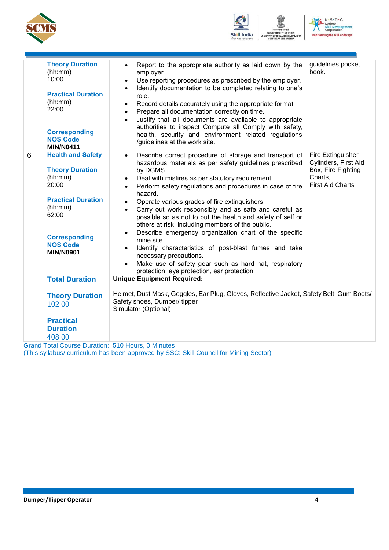





|   | <b>Theory Duration</b><br>(hh:mm)<br>10:00<br><b>Practical Duration</b><br>(hh:mm)<br>22:00<br><b>Corresponding</b><br><b>NOS Code</b><br><b>MIN/N0411</b>                             | guidelines pocket<br>Report to the appropriate authority as laid down by the<br>$\bullet$<br>book.<br>employer<br>Use reporting procedures as prescribed by the employer.<br>$\bullet$<br>Identify documentation to be completed relating to one's<br>$\bullet$<br>role.<br>Record details accurately using the appropriate format<br>$\bullet$<br>Prepare all documentation correctly on time.<br>$\bullet$<br>Justify that all documents are available to appropriate<br>$\bullet$<br>authorities to inspect Compute all Comply with safety,<br>health, security and environment related regulations<br>/guidelines at the work site.                                                                                                                                                                                                                                                                                                                                 |
|---|----------------------------------------------------------------------------------------------------------------------------------------------------------------------------------------|-------------------------------------------------------------------------------------------------------------------------------------------------------------------------------------------------------------------------------------------------------------------------------------------------------------------------------------------------------------------------------------------------------------------------------------------------------------------------------------------------------------------------------------------------------------------------------------------------------------------------------------------------------------------------------------------------------------------------------------------------------------------------------------------------------------------------------------------------------------------------------------------------------------------------------------------------------------------------|
| 6 | <b>Health and Safety</b><br><b>Theory Duration</b><br>(hh:mm)<br>20:00<br><b>Practical Duration</b><br>(hh:mm)<br>62:00<br><b>Corresponding</b><br><b>NOS Code</b><br><b>MIN/N0901</b> | Fire Extinguisher<br>Describe correct procedure of storage and transport of<br>$\bullet$<br>Cylinders, First Aid<br>hazardous materials as per safety guidelines prescribed<br>Box, Fire Fighting<br>by DGMS.<br>Charts,<br>Deal with misfires as per statutory requirement.<br>$\bullet$<br><b>First Aid Charts</b><br>Perform safety regulations and procedures in case of fire<br>$\bullet$<br>hazard.<br>Operate various grades of fire extinguishers.<br>$\bullet$<br>Carry out work responsibly and as safe and careful as<br>$\bullet$<br>possible so as not to put the health and safety of self or<br>others at risk, including members of the public.<br>Describe emergency organization chart of the specific<br>$\bullet$<br>mine site.<br>Identify characteristics of post-blast fumes and take<br>$\bullet$<br>necessary precautions.<br>Make use of safety gear such as hard hat, respiratory<br>$\bullet$<br>protection, eye protection, ear protection |
|   | <b>Total Duration</b>                                                                                                                                                                  | <b>Unique Equipment Required:</b>                                                                                                                                                                                                                                                                                                                                                                                                                                                                                                                                                                                                                                                                                                                                                                                                                                                                                                                                       |
|   | <b>Theory Duration</b><br>102:00                                                                                                                                                       | Helmet, Dust Mask, Goggles, Ear Plug, Gloves, Reflective Jacket, Safety Belt, Gum Boots/<br>Safety shoes, Dumper/tipper<br>Simulator (Optional)                                                                                                                                                                                                                                                                                                                                                                                                                                                                                                                                                                                                                                                                                                                                                                                                                         |
|   | <b>Practical</b><br><b>Duration</b><br>408:00                                                                                                                                          |                                                                                                                                                                                                                                                                                                                                                                                                                                                                                                                                                                                                                                                                                                                                                                                                                                                                                                                                                                         |

Grand Total Course Duration: 510 Hours, 0 Minutes (This syllabus/ curriculum has been approved by SSC: Skill Council for Mining Sector)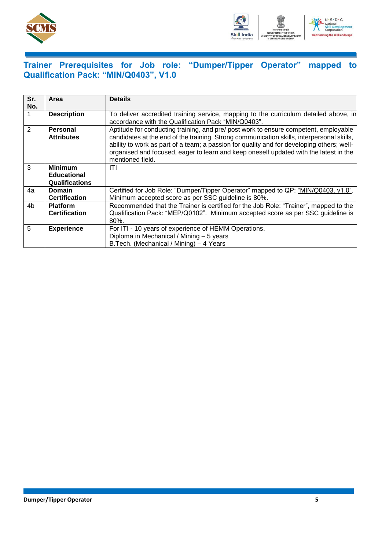



### <span id="page-7-0"></span>**Trainer Prerequisites for Job role: "Dumper/Tipper Operator" mapped to Qualification Pack: "MIN/Q0403", V1.0**

| Sr.<br>No.    | Area                                                          | <b>Details</b>                                                                                                                                                                                                                                                                                                                                                                              |
|---------------|---------------------------------------------------------------|---------------------------------------------------------------------------------------------------------------------------------------------------------------------------------------------------------------------------------------------------------------------------------------------------------------------------------------------------------------------------------------------|
|               | <b>Description</b>                                            | To deliver accredited training service, mapping to the curriculum detailed above, in<br>accordance with the Qualification Pack "MIN/Q0403".                                                                                                                                                                                                                                                 |
| $\mathcal{P}$ | Personal<br><b>Attributes</b>                                 | Aptitude for conducting training, and pre/ post work to ensure competent, employable<br>candidates at the end of the training. Strong communication skills, interpersonal skills,<br>ability to work as part of a team; a passion for quality and for developing others; well-<br>organised and focused, eager to learn and keep oneself updated with the latest in the<br>mentioned field. |
| 3             | <b>Minimum</b><br><b>Educational</b><br><b>Qualifications</b> | ITI                                                                                                                                                                                                                                                                                                                                                                                         |
| 4a            | <b>Domain</b><br><b>Certification</b>                         | Certified for Job Role: "Dumper/Tipper Operator" mapped to QP: "MIN/Q0403, v1.0".<br>Minimum accepted score as per SSC guideline is 80%.                                                                                                                                                                                                                                                    |
| 4b            | <b>Platform</b><br><b>Certification</b>                       | Recommended that the Trainer is certified for the Job Role: "Trainer", mapped to the<br>Qualification Pack: "MEP/Q0102". Minimum accepted score as per SSC quideline is<br>$80%$ .                                                                                                                                                                                                          |
| 5             | <b>Experience</b>                                             | For ITI - 10 years of experience of HEMM Operations.<br>Diploma in Mechanical / Mining - 5 years<br>B. Tech. (Mechanical / Mining) – 4 Years                                                                                                                                                                                                                                                |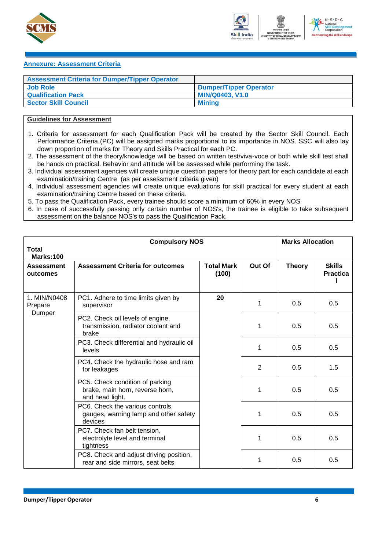



#### <span id="page-8-0"></span>**Annexure: Assessment Criteria**

| <b>Assessment Criteria for Dumper/Tipper Operator</b> |                               |
|-------------------------------------------------------|-------------------------------|
| <b>Job Role</b>                                       | <b>Dumper/Tipper Operator</b> |
| <b>Qualification Pack</b>                             | <b>MIN/Q0403, V1.0</b>        |
| <b>Sector Skill Council</b>                           | <b>Minina</b>                 |

### **Guidelines for Assessment**

- 1. Criteria for assessment for each Qualification Pack will be created by the Sector Skill Council. Each Performance Criteria (PC) will be assigned marks proportional to its importance in NOS. SSC will also lay down proportion of marks for Theory and Skills Practical for each PC.
- 2. The assessment of the theory/knowledge will be based on written test/viva-voce or both while skill test shall be hands on practical. Behavior and attitude will be assessed while performing the task.
- 3. Individual assessment agencies will create unique question papers for theory part for each candidate at each examination/training Centre (as per assessment criteria given)
- 4. Individual assessment agencies will create unique evaluations for skill practical for every student at each examination/training Centre based on these criteria.
- 5. To pass the Qualification Pack, every trainee should score a minimum of 60% in every NOS
- 6. In case of successfully passing only certain number of NOS's, the trainee is eligible to take subsequent assessment on the balance NOS's to pass the Qualification Pack.

| Total                         | <b>Compulsory NOS</b>                                                                 |                            |                | <b>Marks Allocation</b> |                                  |
|-------------------------------|---------------------------------------------------------------------------------------|----------------------------|----------------|-------------------------|----------------------------------|
| Marks:100                     |                                                                                       |                            |                |                         |                                  |
| <b>Assessment</b><br>outcomes | <b>Assessment Criteria for outcomes</b>                                               | <b>Total Mark</b><br>(100) | Out Of         | <b>Theory</b>           | <b>Skills</b><br><b>Practica</b> |
| 1. MIN/N0408<br>Prepare       | PC1. Adhere to time limits given by<br>supervisor                                     | 20                         | 1              | 0.5                     | 0.5                              |
| Dumper                        | PC2. Check oil levels of engine,<br>transmission, radiator coolant and<br>brake       |                            | 1              | 0.5                     | 0.5                              |
|                               | PC3. Check differential and hydraulic oil<br>levels                                   |                            | 1              | 0.5                     | 0.5                              |
|                               | PC4. Check the hydraulic hose and ram<br>for leakages                                 |                            | $\overline{2}$ | 0.5                     | 1.5                              |
|                               | PC5. Check condition of parking<br>brake, main horn, reverse horn,<br>and head light. |                            | 1              | 0.5                     | 0.5                              |
|                               | PC6. Check the various controls,<br>gauges, warning lamp and other safety<br>devices  |                            | 1              | 0.5                     | 0.5                              |
|                               | PC7. Check fan belt tension,<br>electrolyte level and terminal<br>tightness           |                            | 1              | 0.5                     | 0.5                              |
|                               | PC8. Check and adjust driving position,<br>rear and side mirrors, seat belts          |                            | 1              | 0.5                     | 0.5                              |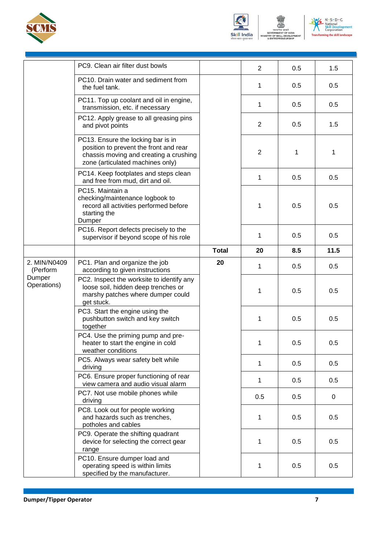







|                          | PC9. Clean air filter dust bowls                                                                                                                           |              | $\overline{2}$ | 0.5 | 1.5         |
|--------------------------|------------------------------------------------------------------------------------------------------------------------------------------------------------|--------------|----------------|-----|-------------|
|                          | PC10. Drain water and sediment from<br>the fuel tank.                                                                                                      |              | 1              | 0.5 | 0.5         |
|                          | PC11. Top up coolant and oil in engine,<br>transmission, etc. if necessary                                                                                 |              | 1              | 0.5 | 0.5         |
|                          | PC12. Apply grease to all greasing pins<br>and pivot points                                                                                                |              | 2              | 0.5 | 1.5         |
|                          | PC13. Ensure the locking bar is in<br>position to prevent the front and rear<br>chassis moving and creating a crushing<br>zone (articulated machines only) |              | 2              | 1   | 1           |
|                          | PC14. Keep footplates and steps clean<br>and free from mud, dirt and oil.                                                                                  |              | 1              | 0.5 | 0.5         |
|                          | PC15. Maintain a<br>checking/maintenance logbook to<br>record all activities performed before<br>starting the<br>Dumper                                    |              | 1              | 0.5 | 0.5         |
|                          | PC16. Report defects precisely to the<br>supervisor if beyond scope of his role                                                                            |              | 1              | 0.5 | 0.5         |
|                          |                                                                                                                                                            | <b>Total</b> | 20             | 8.5 | 11.5        |
| 2. MIN/N0409<br>(Perform | PC1. Plan and organize the job<br>according to given instructions                                                                                          | 20           | 1              | 0.5 | 0.5         |
| Dumper<br>Operations)    | PC2. Inspect the worksite to identify any<br>loose soil, hidden deep trenches or<br>marshy patches where dumper could<br>get stuck.                        |              | 1              | 0.5 | 0.5         |
|                          | PC3. Start the engine using the<br>pushbutton switch and key switch<br>together                                                                            |              | 1              | 0.5 | 0.5         |
|                          | PC4. Use the priming pump and pre-<br>heater to start the engine in cold<br>weather conditions                                                             |              | 1              | 0.5 | 0.5         |
|                          | PC5. Always wear safety belt while<br>driving                                                                                                              |              | 1              | 0.5 | 0.5         |
|                          | PC6. Ensure proper functioning of rear<br>view camera and audio visual alarm                                                                               |              | 1              | 0.5 | 0.5         |
|                          | PC7. Not use mobile phones while<br>driving                                                                                                                |              | 0.5            | 0.5 | $\mathbf 0$ |
|                          | PC8. Look out for people working<br>and hazards such as trenches,<br>potholes and cables                                                                   |              | 1              | 0.5 | 0.5         |
|                          | PC9. Operate the shifting quadrant<br>device for selecting the correct gear<br>range                                                                       |              | 1              | 0.5 | 0.5         |
|                          | PC10. Ensure dumper load and<br>operating speed is within limits<br>specified by the manufacturer.                                                         |              | 1              | 0.5 | 0.5         |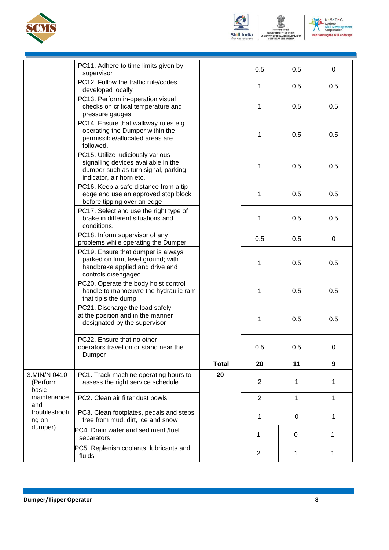



सत्यमेव जयते<br>GOVERNMENT OF INDIA<br>STRY OF SKILL DEVELOPI<br>& ENTREPRENEURSHIP **VENT** 



|                                              | PC11. Adhere to time limits given by<br>supervisor                                                                                          |              | 0.5            | 0.5 | 0   |
|----------------------------------------------|---------------------------------------------------------------------------------------------------------------------------------------------|--------------|----------------|-----|-----|
|                                              | PC12. Follow the traffic rule/codes<br>developed locally                                                                                    |              | 1              | 0.5 | 0.5 |
|                                              | PC13. Perform in-operation visual<br>checks on critical temperature and<br>pressure gauges.                                                 |              | 1              | 0.5 | 0.5 |
|                                              | PC14. Ensure that walkway rules e.g.<br>operating the Dumper within the<br>permissible/allocated areas are<br>followed.                     |              | 1              | 0.5 | 0.5 |
|                                              | PC15. Utilize judiciously various<br>signalling devices available in the<br>dumper such as turn signal, parking<br>indicator, air horn etc. |              | 1              | 0.5 | 0.5 |
|                                              | PC16. Keep a safe distance from a tip<br>edge and use an approved stop block<br>before tipping over an edge                                 |              | 1              | 0.5 | 0.5 |
|                                              | PC17. Select and use the right type of<br>brake in different situations and<br>conditions.                                                  |              | 1              | 0.5 | 0.5 |
|                                              | PC18. Inform supervisor of any<br>problems while operating the Dumper                                                                       |              | 0.5            | 0.5 | 0   |
|                                              | PC19. Ensure that dumper is always<br>parked on firm, level ground; with<br>handbrake applied and drive and<br>controls disengaged          |              | 1              | 0.5 | 0.5 |
|                                              | PC20. Operate the body hoist control<br>handle to manoeuvre the hydraulic ram<br>that tip s the dump.                                       |              | 1              | 0.5 | 0.5 |
|                                              | PC21. Discharge the load safely<br>at the position and in the manner<br>designated by the supervisor                                        |              | 1              | 0.5 | 0.5 |
|                                              | PC22. Ensure that no other<br>operators travel on or stand near the<br>Dumper                                                               |              | 0.5            | 0.5 | 0   |
|                                              |                                                                                                                                             | <b>Total</b> | 20             | 11  | 9   |
| 3.MIN/N 0410<br>(Perform<br>basic            | PC1. Track machine operating hours to<br>assess the right service schedule.                                                                 | 20           | $\overline{c}$ | 1   | 1   |
| maintenance<br>and<br>troubleshooti<br>ng on | PC2. Clean air filter dust bowls                                                                                                            |              | $\overline{2}$ | 1   | 1   |
|                                              | PC3. Clean footplates, pedals and steps<br>free from mud, dirt, ice and snow                                                                |              | 1              | 0   | 1   |
| dumper)                                      | PC4. Drain water and sediment /fuel<br>separators                                                                                           |              | 1              | 0   | 1   |
|                                              | PC5. Replenish coolants, lubricants and<br>fluids                                                                                           |              | $\overline{2}$ | 1   | 1   |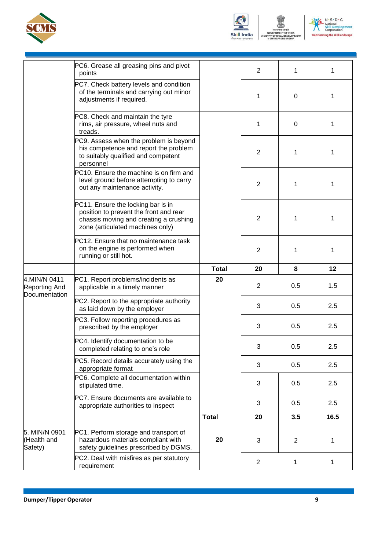



सत्यमेव जयले<br>GOVERNMENT OF INDIA<br>STRY OF SKILL DEVELOR<br>& ENTREPRENEURSHIP **IENT** 



|                                         | PC6. Grease all greasing pins and pivot<br>points                                                                                                          |              | $\overline{2}$ | 1   | 1    |
|-----------------------------------------|------------------------------------------------------------------------------------------------------------------------------------------------------------|--------------|----------------|-----|------|
|                                         | PC7. Check battery levels and condition<br>of the terminals and carrying out minor<br>adjustments if required.                                             |              | 1              | 0   | 1    |
|                                         | PC8. Check and maintain the tyre<br>rims, air pressure, wheel nuts and<br>treads.                                                                          |              | 1              | 0   | 1    |
|                                         | PC9. Assess when the problem is beyond<br>his competence and report the problem<br>to suitably qualified and competent<br>personnel                        |              | $\overline{2}$ | 1   | 1    |
|                                         | PC10. Ensure the machine is on firm and<br>level ground before attempting to carry<br>out any maintenance activity.                                        |              | $\overline{2}$ | 1   | 1    |
|                                         | PC11. Ensure the locking bar is in<br>position to prevent the front and rear<br>chassis moving and creating a crushing<br>zone (articulated machines only) |              | 2              | 1   | 1    |
|                                         | PC12. Ensure that no maintenance task<br>on the engine is performed when<br>running or still hot.                                                          |              | $\overline{2}$ | 1   | 1    |
|                                         |                                                                                                                                                            | <b>Total</b> | 20             | 8   | 12   |
| 4.MIN/N 0411                            | PC1. Report problems/incidents as                                                                                                                          | 20           |                |     |      |
| Reporting And                           | applicable in a timely manner                                                                                                                              |              | $\overline{c}$ | 0.5 | 1.5  |
| Documentation                           | PC2. Report to the appropriate authority<br>as laid down by the employer                                                                                   |              | 3              | 0.5 | 2.5  |
|                                         | PC3. Follow reporting procedures as<br>prescribed by the employer                                                                                          |              | 3              | 0.5 | 2.5  |
|                                         | PC4. Identify documentation to be<br>completed relating to one's role                                                                                      |              | 3              | 0.5 | 2.5  |
|                                         | PC5. Record details accurately using the<br>appropriate format                                                                                             |              | 3              | 0.5 | 2.5  |
|                                         | PC6. Complete all documentation within<br>stipulated time.                                                                                                 |              | 3              | 0.5 | 2.5  |
|                                         | PC7. Ensure documents are available to<br>appropriate authorities to inspect                                                                               |              | 3              | 0.5 | 2.5  |
|                                         |                                                                                                                                                            | <b>Total</b> | 20             | 3.5 | 16.5 |
| 5. MIN/N 0901<br>(Health and<br>Safety) | PC1. Perform storage and transport of<br>hazardous materials compliant with<br>safety guidelines prescribed by DGMS.                                       | 20           | 3              | 2   | 1    |